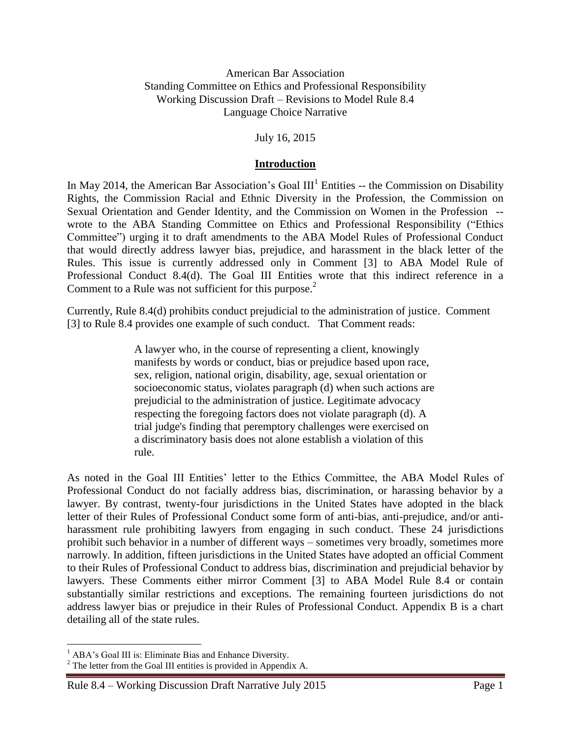### American Bar Association Standing Committee on Ethics and Professional Responsibility Working Discussion Draft – Revisions to Model Rule 8.4 Language Choice Narrative

July 16, 2015

### **Introduction**

In May 2014, the American Bar Association's Goal  $III<sup>1</sup>$  Entities -- the Commission on Disability Rights, the Commission Racial and Ethnic Diversity in the Profession, the Commission on Sexual Orientation and Gender Identity, and the Commission on Women in the Profession - wrote to the ABA Standing Committee on Ethics and Professional Responsibility ("Ethics Committee") urging it to draft amendments to the ABA Model Rules of Professional Conduct that would directly address lawyer bias, prejudice, and harassment in the black letter of the Rules. This issue is currently addressed only in Comment [3] to ABA Model Rule of Professional Conduct 8.4(d). The Goal III Entities wrote that this indirect reference in a Comment to a Rule was not sufficient for this purpose.<sup>2</sup>

Currently, Rule 8.4(d) prohibits conduct prejudicial to the administration of justice. Comment [3] to Rule 8.4 provides one example of such conduct. That Comment reads:

> A lawyer who, in the course of representing a client, knowingly manifests by words or conduct, bias or prejudice based upon race, sex, religion, national origin, disability, age, sexual orientation or socioeconomic status, violates paragraph (d) when such actions are prejudicial to the administration of justice. Legitimate advocacy respecting the foregoing factors does not violate paragraph (d). A trial judge's finding that peremptory challenges were exercised on a discriminatory basis does not alone establish a violation of this rule.

As noted in the Goal III Entities' letter to the Ethics Committee, the ABA Model Rules of Professional Conduct do not facially address bias, discrimination, or harassing behavior by a lawyer. By contrast, twenty-four jurisdictions in the United States have adopted in the black letter of their Rules of Professional Conduct some form of anti-bias, anti-prejudice, and/or antiharassment rule prohibiting lawyers from engaging in such conduct. These 24 jurisdictions prohibit such behavior in a number of different ways – sometimes very broadly, sometimes more narrowly. In addition, fifteen jurisdictions in the United States have adopted an official Comment to their Rules of Professional Conduct to address bias, discrimination and prejudicial behavior by lawyers. These Comments either mirror Comment [3] to ABA Model Rule 8.4 or contain substantially similar restrictions and exceptions. The remaining fourteen jurisdictions do not address lawyer bias or prejudice in their Rules of Professional Conduct. Appendix B is a chart detailing all of the state rules.

 $\overline{a}$ 

<sup>&</sup>lt;sup>1</sup> ABA's Goal III is: Eliminate Bias and Enhance Diversity.

 $2^2$  The letter from the Goal III entities is provided in Appendix A.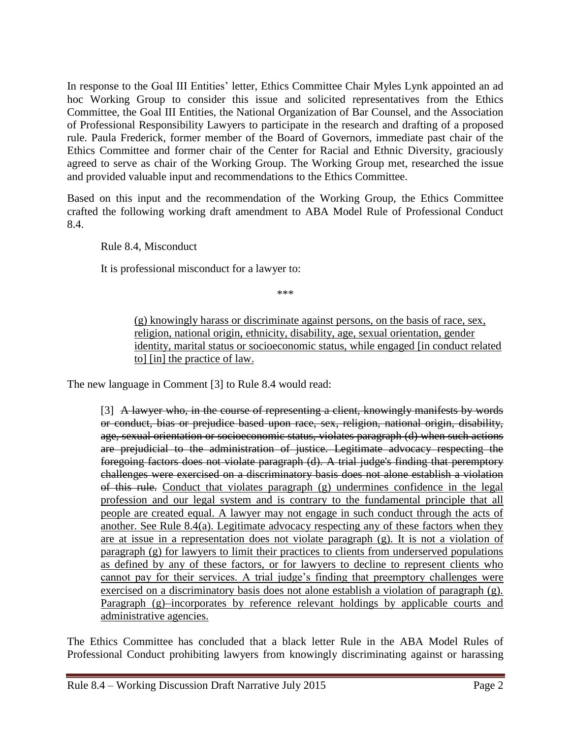In response to the Goal III Entities' letter, Ethics Committee Chair Myles Lynk appointed an ad hoc Working Group to consider this issue and solicited representatives from the Ethics Committee, the Goal III Entities, the National Organization of Bar Counsel, and the Association of Professional Responsibility Lawyers to participate in the research and drafting of a proposed rule. Paula Frederick, former member of the Board of Governors, immediate past chair of the Ethics Committee and former chair of the Center for Racial and Ethnic Diversity, graciously agreed to serve as chair of the Working Group. The Working Group met, researched the issue and provided valuable input and recommendations to the Ethics Committee.

Based on this input and the recommendation of the Working Group, the Ethics Committee crafted the following working draft amendment to ABA Model Rule of Professional Conduct 8.4.

Rule 8.4, Misconduct

It is professional misconduct for a lawyer to:

\*\*\*

(g) knowingly harass or discriminate against persons, on the basis of race, sex, religion, national origin, ethnicity, disability, age, sexual orientation, gender identity, marital status or socioeconomic status, while engaged [in conduct related to] [in] the practice of law.

The new language in Comment [3] to Rule 8.4 would read:

[3] A lawyer who, in the course of representing a client, knowingly manifests by words or conduct, bias or prejudice based upon race, sex, religion, national origin, disability, age, sexual orientation or socioeconomic status, violates paragraph (d) when such actions are prejudicial to the administration of justice. Legitimate advocacy respecting the foregoing factors does not violate paragraph (d). A trial judge's finding that peremptory challenges were exercised on a discriminatory basis does not alone establish a violation of this rule. Conduct that violates paragraph (g) undermines confidence in the legal profession and our legal system and is contrary to the fundamental principle that all people are created equal. A lawyer may not engage in such conduct through the acts of another. See Rule 8.4(a). Legitimate advocacy respecting any of these factors when they are at issue in a representation does not violate paragraph (g). It is not a violation of paragraph (g) for lawyers to limit their practices to clients from underserved populations as defined by any of these factors, or for lawyers to decline to represent clients who cannot pay for their services. A trial judge's finding that preemptory challenges were exercised on a discriminatory basis does not alone establish a violation of paragraph (g). Paragraph (g)-incorporates by reference relevant holdings by applicable courts and administrative agencies.

The Ethics Committee has concluded that a black letter Rule in the ABA Model Rules of Professional Conduct prohibiting lawyers from knowingly discriminating against or harassing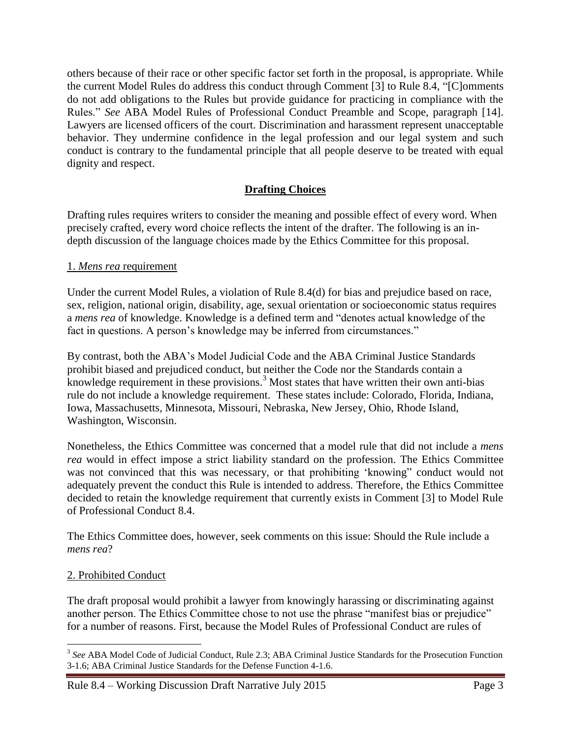others because of their race or other specific factor set forth in the proposal, is appropriate. While the current Model Rules do address this conduct through Comment [3] to Rule 8.4, "[C]omments do not add obligations to the Rules but provide guidance for practicing in compliance with the Rules." *See* ABA Model Rules of Professional Conduct Preamble and Scope, paragraph [14]. Lawyers are licensed officers of the court. Discrimination and harassment represent unacceptable behavior. They undermine confidence in the legal profession and our legal system and such conduct is contrary to the fundamental principle that all people deserve to be treated with equal dignity and respect.

# **Drafting Choices**

Drafting rules requires writers to consider the meaning and possible effect of every word. When precisely crafted, every word choice reflects the intent of the drafter. The following is an indepth discussion of the language choices made by the Ethics Committee for this proposal.

### 1. *Mens rea* requirement

Under the current Model Rules, a violation of Rule 8.4(d) for bias and prejudice based on race, sex, religion, national origin, disability, age, sexual orientation or socioeconomic status requires a *mens rea* of knowledge. Knowledge is a defined term and "denotes actual knowledge of the fact in questions. A person's knowledge may be inferred from circumstances."

By contrast, both the ABA's Model Judicial Code and the ABA Criminal Justice Standards prohibit biased and prejudiced conduct, but neither the Code nor the Standards contain a knowledge requirement in these provisions.<sup>3</sup> Most states that have written their own anti-bias rule do not include a knowledge requirement. These states include: Colorado, Florida, Indiana, Iowa, Massachusetts, Minnesota, Missouri, Nebraska, New Jersey, Ohio, Rhode Island, Washington, Wisconsin.

Nonetheless, the Ethics Committee was concerned that a model rule that did not include a *mens rea* would in effect impose a strict liability standard on the profession. The Ethics Committee was not convinced that this was necessary, or that prohibiting 'knowing" conduct would not adequately prevent the conduct this Rule is intended to address. Therefore, the Ethics Committee decided to retain the knowledge requirement that currently exists in Comment [3] to Model Rule of Professional Conduct 8.4.

The Ethics Committee does, however, seek comments on this issue: Should the Rule include a *mens rea*?

# 2. Prohibited Conduct

 $\overline{a}$ 

The draft proposal would prohibit a lawyer from knowingly harassing or discriminating against another person. The Ethics Committee chose to not use the phrase "manifest bias or prejudice" for a number of reasons. First, because the Model Rules of Professional Conduct are rules of

<sup>&</sup>lt;sup>3</sup> See ABA Model Code of Judicial Conduct, Rule 2.3; ABA Criminal Justice Standards for the Prosecution Function 3-1.6; ABA Criminal Justice Standards for the Defense Function 4-1.6.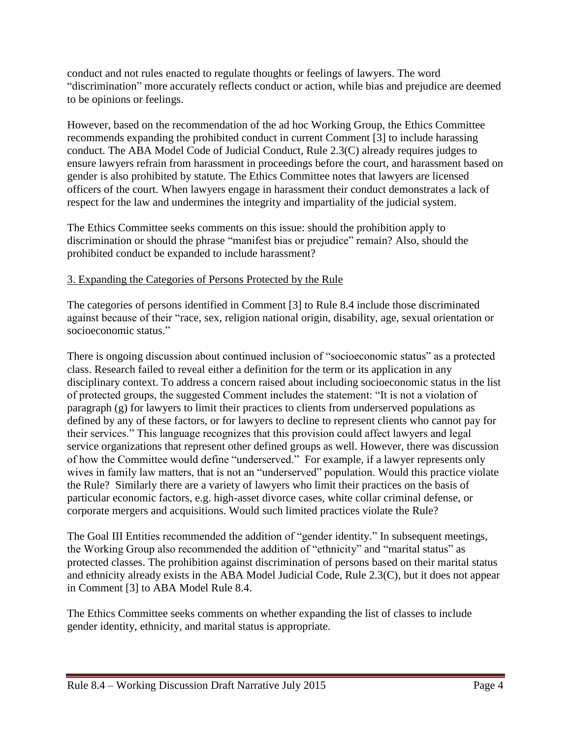conduct and not rules enacted to regulate thoughts or feelings of lawyers. The word "discrimination" more accurately reflects conduct or action, while bias and prejudice are deemed to be opinions or feelings.

However, based on the recommendation of the ad hoc Working Group, the Ethics Committee recommends expanding the prohibited conduct in current Comment [3] to include harassing conduct. The ABA Model Code of Judicial Conduct, Rule 2.3(C) already requires judges to ensure lawyers refrain from harassment in proceedings before the court, and harassment based on gender is also prohibited by statute. The Ethics Committee notes that lawyers are licensed officers of the court. When lawyers engage in harassment their conduct demonstrates a lack of respect for the law and undermines the integrity and impartiality of the judicial system.

The Ethics Committee seeks comments on this issue: should the prohibition apply to discrimination or should the phrase "manifest bias or prejudice" remain? Also, should the prohibited conduct be expanded to include harassment?

# 3. Expanding the Categories of Persons Protected by the Rule

The categories of persons identified in Comment [3] to Rule 8.4 include those discriminated against because of their "race, sex, religion national origin, disability, age, sexual orientation or socioeconomic status."

There is ongoing discussion about continued inclusion of "socioeconomic status" as a protected class. Research failed to reveal either a definition for the term or its application in any disciplinary context. To address a concern raised about including socioeconomic status in the list of protected groups, the suggested Comment includes the statement: "It is not a violation of paragraph (g) for lawyers to limit their practices to clients from underserved populations as defined by any of these factors, or for lawyers to decline to represent clients who cannot pay for their services." This language recognizes that this provision could affect lawyers and legal service organizations that represent other defined groups as well. However, there was discussion of how the Committee would define "underserved." For example, if a lawyer represents only wives in family law matters, that is not an "underserved" population. Would this practice violate the Rule? Similarly there are a variety of lawyers who limit their practices on the basis of particular economic factors, e.g. high-asset divorce cases, white collar criminal defense, or corporate mergers and acquisitions. Would such limited practices violate the Rule?

The Goal III Entities recommended the addition of "gender identity." In subsequent meetings, the Working Group also recommended the addition of "ethnicity" and "marital status" as protected classes. The prohibition against discrimination of persons based on their marital status and ethnicity already exists in the ABA Model Judicial Code, Rule 2.3(C), but it does not appear in Comment [3] to ABA Model Rule 8.4.

The Ethics Committee seeks comments on whether expanding the list of classes to include gender identity, ethnicity, and marital status is appropriate.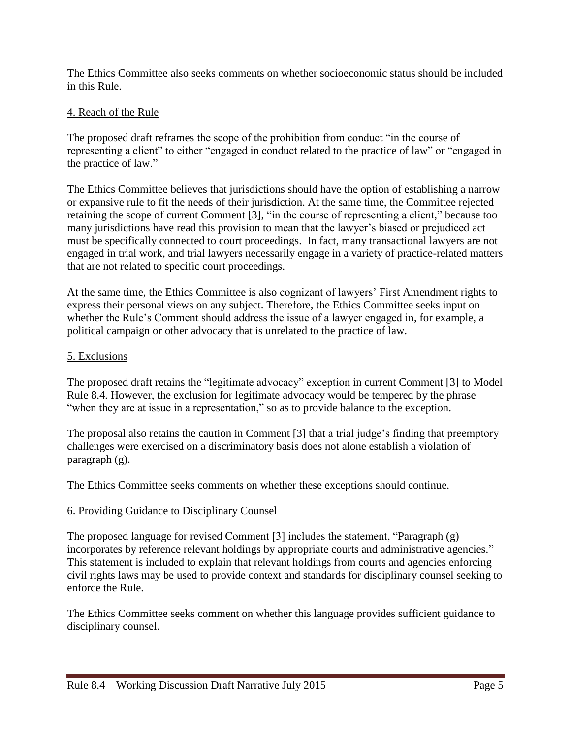The Ethics Committee also seeks comments on whether socioeconomic status should be included in this Rule.

# 4. Reach of the Rule

The proposed draft reframes the scope of the prohibition from conduct "in the course of representing a client" to either "engaged in conduct related to the practice of law" or "engaged in the practice of law."

The Ethics Committee believes that jurisdictions should have the option of establishing a narrow or expansive rule to fit the needs of their jurisdiction. At the same time, the Committee rejected retaining the scope of current Comment [3], "in the course of representing a client," because too many jurisdictions have read this provision to mean that the lawyer's biased or prejudiced act must be specifically connected to court proceedings. In fact, many transactional lawyers are not engaged in trial work, and trial lawyers necessarily engage in a variety of practice-related matters that are not related to specific court proceedings.

At the same time, the Ethics Committee is also cognizant of lawyers' First Amendment rights to express their personal views on any subject. Therefore, the Ethics Committee seeks input on whether the Rule's Comment should address the issue of a lawyer engaged in, for example, a political campaign or other advocacy that is unrelated to the practice of law.

# 5. Exclusions

The proposed draft retains the "legitimate advocacy" exception in current Comment [3] to Model Rule 8.4. However, the exclusion for legitimate advocacy would be tempered by the phrase "when they are at issue in a representation," so as to provide balance to the exception.

The proposal also retains the caution in Comment [3] that a trial judge's finding that preemptory challenges were exercised on a discriminatory basis does not alone establish a violation of paragraph (g).

The Ethics Committee seeks comments on whether these exceptions should continue.

# 6. Providing Guidance to Disciplinary Counsel

The proposed language for revised Comment [3] includes the statement, "Paragraph (g) incorporates by reference relevant holdings by appropriate courts and administrative agencies." This statement is included to explain that relevant holdings from courts and agencies enforcing civil rights laws may be used to provide context and standards for disciplinary counsel seeking to enforce the Rule.

The Ethics Committee seeks comment on whether this language provides sufficient guidance to disciplinary counsel.